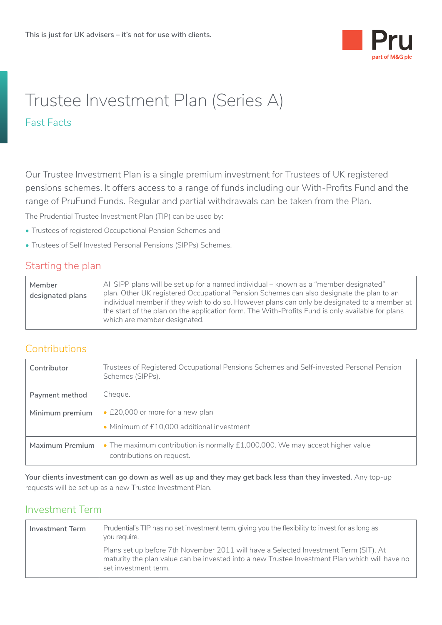

# Trustee Investment Plan (Series A) Fast Facts

Our Trustee Investment Plan is a single premium investment for Trustees of UK registered pensions schemes. It offers access to a range of funds including our With-Profits Fund and the range of PruFund Funds. Regular and partial withdrawals can be taken from the Plan.

The Prudential Trustee Investment Plan (TIP) can be used by:

- Trustees of registered Occupational Pension Schemes and
- Trustees of Self Invested Personal Pensions (SIPPs) Schemes.

#### Starting the plan

| Member<br>designated plans | All SIPP plans will be set up for a named individual – known as a "member designated"<br>plan. Other UK registered Occupational Pension Schemes can also designate the plan to an<br>individual member if they wish to do so. However plans can only be designated to a member at<br>the start of the plan on the application form. The With-Profits Fund is only available for plans |
|----------------------------|---------------------------------------------------------------------------------------------------------------------------------------------------------------------------------------------------------------------------------------------------------------------------------------------------------------------------------------------------------------------------------------|
|                            | which are member designated.                                                                                                                                                                                                                                                                                                                                                          |

#### **Contributions**

| Contributor     | Trustees of Registered Occupational Pensions Schemes and Self-invested Personal Pension<br>Schemes (SIPPs). |
|-----------------|-------------------------------------------------------------------------------------------------------------|
| Payment method  | Cheque.                                                                                                     |
| Minimum premium | • £20,000 or more for a new plan                                                                            |
|                 | • Minimum of £10,000 additional investment                                                                  |
| Maximum Premium | • The maximum contribution is normally £1,000,000. We may accept higher value<br>contributions on request.  |

**Your clients investment can go down as well as up and they may get back less than they invested.** Any top-up requests will be set up as a new Trustee Investment Plan.

#### Investment Term

| Investment Term<br>you require. | Prudential's TIP has no set investment term, giving you the flexibility to invest for as long as                                                                                                              |
|---------------------------------|---------------------------------------------------------------------------------------------------------------------------------------------------------------------------------------------------------------|
|                                 | Plans set up before 7th November 2011 will have a Selected Investment Term (SIT). At<br>maturity the plan value can be invested into a new Trustee Investment Plan which will have no<br>set investment term. |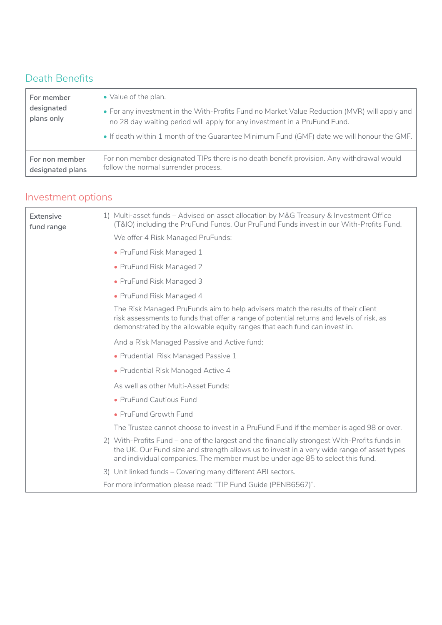## Death Benefits

| For member<br>designated<br>plans only | • Value of the plan.<br>. For any investment in the With-Profits Fund no Market Value Reduction (MVR) will apply and<br>no 28 day waiting period will apply for any investment in a PruFund Fund.<br>. If death within 1 month of the Guarantee Minimum Fund (GMF) date we will honour the GMF. |
|----------------------------------------|-------------------------------------------------------------------------------------------------------------------------------------------------------------------------------------------------------------------------------------------------------------------------------------------------|
| For non member                         | For non member designated TIPs there is no death benefit provision. Any withdrawal would                                                                                                                                                                                                        |
| designated plans                       | follow the normal surrender process.                                                                                                                                                                                                                                                            |

## Investment options

| Extensive<br>fund range | 1) Multi-asset funds - Advised on asset allocation by M&G Treasury & Investment Office<br>(T&IO) including the PruFund Funds. Our PruFund Funds invest in our With-Profits Fund.                                                                                              |
|-------------------------|-------------------------------------------------------------------------------------------------------------------------------------------------------------------------------------------------------------------------------------------------------------------------------|
|                         | We offer 4 Risk Managed PruFunds:                                                                                                                                                                                                                                             |
|                         | • PruFund Risk Managed 1                                                                                                                                                                                                                                                      |
|                         | • PruFund Risk Managed 2                                                                                                                                                                                                                                                      |
|                         | • PruFund Risk Managed 3                                                                                                                                                                                                                                                      |
|                         | • PruFund Risk Managed 4                                                                                                                                                                                                                                                      |
|                         | The Risk Managed PruFunds aim to help advisers match the results of their client<br>risk assessments to funds that offer a range of potential returns and levels of risk, as<br>demonstrated by the allowable equity ranges that each fund can invest in.                     |
|                         | And a Risk Managed Passive and Active fund:                                                                                                                                                                                                                                   |
|                         | • Prudential Risk Managed Passive 1                                                                                                                                                                                                                                           |
|                         | • Prudential Risk Managed Active 4                                                                                                                                                                                                                                            |
|                         | As well as other Multi-Asset Funds:                                                                                                                                                                                                                                           |
|                         | • PruFund Cautious Fund                                                                                                                                                                                                                                                       |
|                         | • PruFund Growth Fund                                                                                                                                                                                                                                                         |
|                         | The Trustee cannot choose to invest in a PruFund Fund if the member is aged 98 or over.                                                                                                                                                                                       |
|                         | 2) With-Profits Fund – one of the largest and the financially strongest With-Profits funds in<br>the UK. Our Fund size and strength allows us to invest in a very wide range of asset types<br>and individual companies. The member must be under age 85 to select this fund. |
|                         | 3) Unit linked funds - Covering many different ABI sectors.                                                                                                                                                                                                                   |
|                         | For more information please read: "TIP Fund Guide (PENB6567)".                                                                                                                                                                                                                |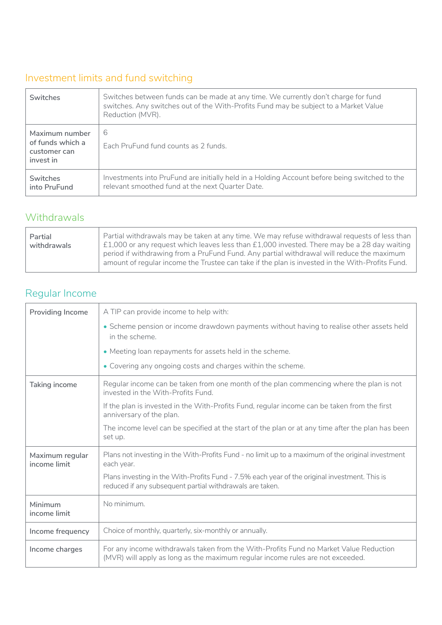## Investment limits and fund switching

| <b>Switches</b>                                                 | Switches between funds can be made at any time. We currently don't charge for fund<br>switches. Any switches out of the With-Profits Fund may be subject to a Market Value<br>Reduction (MVR). |
|-----------------------------------------------------------------|------------------------------------------------------------------------------------------------------------------------------------------------------------------------------------------------|
| Maximum number<br>of funds which a<br>customer can<br>invest in | 6<br>Each PruFund fund counts as 2 funds.                                                                                                                                                      |
| <b>Switches</b><br>into PruFund                                 | Investments into PruFund are initially held in a Holding Account before being switched to the<br>relevant smoothed fund at the next Quarter Date.                                              |

#### Withdrawals

| Partial     | Partial withdrawals may be taken at any time. We may refuse withdrawal requests of less than                                                                                                 |
|-------------|----------------------------------------------------------------------------------------------------------------------------------------------------------------------------------------------|
| withdrawals | $\pm 1,000$ or any request which leaves less than £1,000 invested. There may be a 28 day waiting                                                                                             |
|             | period if withdrawing from a PruFund Fund. Any partial withdrawal will reduce the maximum<br>amount of regular income the Trustee can take if the plan is invested in the With-Profits Fund. |

## Regular Income

| <b>Providing Income</b>         | A TIP can provide income to help with:                                                                                                                                  |
|---------------------------------|-------------------------------------------------------------------------------------------------------------------------------------------------------------------------|
|                                 | • Scheme pension or income drawdown payments without having to realise other assets held<br>in the scheme.                                                              |
|                                 | • Meeting loan repayments for assets held in the scheme.                                                                                                                |
|                                 | • Covering any ongoing costs and charges within the scheme.                                                                                                             |
| Taking income                   | Regular income can be taken from one month of the plan commencing where the plan is not<br>invested in the With-Profits Fund.                                           |
|                                 | If the plan is invested in the With-Profits Fund, regular income can be taken from the first<br>anniversary of the plan.                                                |
|                                 | The income level can be specified at the start of the plan or at any time after the plan has been<br>set up.                                                            |
| Maximum regular<br>income limit | Plans not investing in the With-Profits Fund - no limit up to a maximum of the original investment<br>each year.                                                        |
|                                 | Plans investing in the With-Profits Fund - 7.5% each year of the original investment. This is<br>reduced if any subsequent partial withdrawals are taken.               |
| Minimum<br>income limit         | No minimum.                                                                                                                                                             |
| Income frequency                | Choice of monthly, quarterly, six-monthly or annually.                                                                                                                  |
| Income charges                  | For any income withdrawals taken from the With-Profits Fund no Market Value Reduction<br>(MVR) will apply as long as the maximum regular income rules are not exceeded. |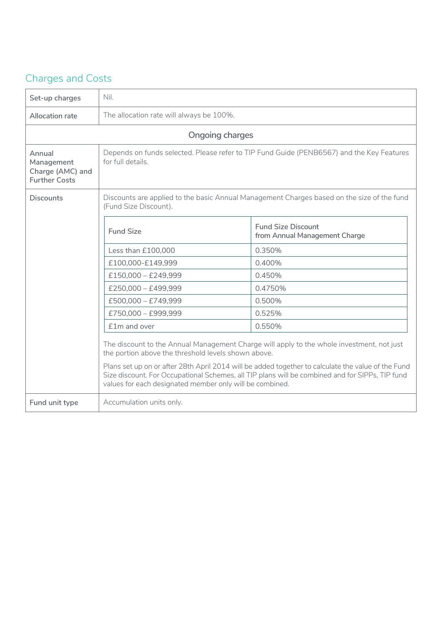## Charges and Costs

| Set-up charges                                                   | Nil.                                                                                                                |                                                                                                                                                                                                                                                                                                    |
|------------------------------------------------------------------|---------------------------------------------------------------------------------------------------------------------|----------------------------------------------------------------------------------------------------------------------------------------------------------------------------------------------------------------------------------------------------------------------------------------------------|
| Allocation rate                                                  | The allocation rate will always be 100%.                                                                            |                                                                                                                                                                                                                                                                                                    |
|                                                                  | Ongoing charges                                                                                                     |                                                                                                                                                                                                                                                                                                    |
| Annual<br>Management<br>Charge (AMC) and<br><b>Further Costs</b> | Depends on funds selected. Please refer to TIP Fund Guide (PENB6567) and the Key Features<br>for full details.      |                                                                                                                                                                                                                                                                                                    |
| <b>Discounts</b>                                                 | Discounts are applied to the basic Annual Management Charges based on the size of the fund<br>(Fund Size Discount). |                                                                                                                                                                                                                                                                                                    |
|                                                                  | <b>Fund Size</b>                                                                                                    | <b>Fund Size Discount</b><br>from Annual Management Charge                                                                                                                                                                                                                                         |
|                                                                  | Less than £100,000                                                                                                  | 0.350%                                                                                                                                                                                                                                                                                             |
|                                                                  | £100,000-£149,999                                                                                                   | 0.400%                                                                                                                                                                                                                                                                                             |
|                                                                  | £150,000 - £249,999                                                                                                 | 0.450%                                                                                                                                                                                                                                                                                             |
|                                                                  | £250,000 - £499,999                                                                                                 | 0.4750%                                                                                                                                                                                                                                                                                            |
|                                                                  | £500,000 - £749,999                                                                                                 | 0.500%                                                                                                                                                                                                                                                                                             |
|                                                                  | £750,000 - £999,999                                                                                                 | 0.525%                                                                                                                                                                                                                                                                                             |
|                                                                  | £1m and over                                                                                                        | 0.550%                                                                                                                                                                                                                                                                                             |
|                                                                  | the portion above the threshold levels shown above.<br>values for each designated member only will be combined.     | The discount to the Annual Management Charge will apply to the whole investment, not just<br>Plans set up on or after 28th April 2014 will be added together to calculate the value of the Fund<br>Size discount. For Occupational Schemes, all TIP plans will be combined and for SIPPs, TIP fund |
| Fund unit type                                                   | Accumulation units only.                                                                                            |                                                                                                                                                                                                                                                                                                    |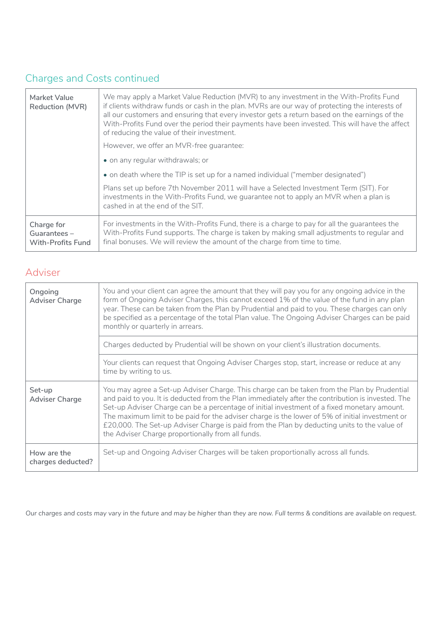### Charges and Costs continued

| Market Value<br>Reduction (MVR)                       | We may apply a Market Value Reduction (MVR) to any investment in the With-Profits Fund<br>if clients withdraw funds or cash in the plan. MVRs are our way of protecting the interests of<br>all our customers and ensuring that every investor gets a return based on the earnings of the<br>With-Profits Fund over the period their payments have been invested. This will have the affect<br>of reducing the value of their investment. |
|-------------------------------------------------------|-------------------------------------------------------------------------------------------------------------------------------------------------------------------------------------------------------------------------------------------------------------------------------------------------------------------------------------------------------------------------------------------------------------------------------------------|
|                                                       | However, we offer an MVR-free quarantee:                                                                                                                                                                                                                                                                                                                                                                                                  |
|                                                       | • on any regular withdrawals; or                                                                                                                                                                                                                                                                                                                                                                                                          |
|                                                       | • on death where the TIP is set up for a named individual ("member designated")                                                                                                                                                                                                                                                                                                                                                           |
|                                                       | Plans set up before 7th November 2011 will have a Selected Investment Term (SIT). For<br>investments in the With-Profits Fund, we guarantee not to apply an MVR when a plan is<br>cashed in at the end of the SIT.                                                                                                                                                                                                                        |
| Charge for<br>Guarantees-<br><b>With-Profits Fund</b> | For investments in the With-Profits Fund, there is a charge to pay for all the guarantees the<br>With-Profits Fund supports. The charge is taken by making small adjustments to regular and<br>final bonuses. We will review the amount of the charge from time to time.                                                                                                                                                                  |

#### Adviser

| Ongoing<br><b>Adviser Charge</b> | You and your client can agree the amount that they will pay you for any ongoing advice in the<br>form of Ongoing Adviser Charges, this cannot exceed 1% of the value of the fund in any plan<br>year. These can be taken from the Plan by Prudential and paid to you. These charges can only<br>be specified as a percentage of the total Plan value. The Ongoing Adviser Charges can be paid<br>monthly or quarterly in arrears.                                                                                                                      |
|----------------------------------|--------------------------------------------------------------------------------------------------------------------------------------------------------------------------------------------------------------------------------------------------------------------------------------------------------------------------------------------------------------------------------------------------------------------------------------------------------------------------------------------------------------------------------------------------------|
|                                  | Charges deducted by Prudential will be shown on your client's illustration documents.                                                                                                                                                                                                                                                                                                                                                                                                                                                                  |
|                                  | Your clients can request that Ongoing Adviser Charges stop, start, increase or reduce at any<br>time by writing to us.                                                                                                                                                                                                                                                                                                                                                                                                                                 |
| Set-up<br><b>Adviser Charge</b>  | You may agree a Set-up Adviser Charge. This charge can be taken from the Plan by Prudential<br>and paid to you. It is deducted from the Plan immediately after the contribution is invested. The<br>Set-up Adviser Charge can be a percentage of initial investment of a fixed monetary amount.<br>The maximum limit to be paid for the adviser charge is the lower of 5% of initial investment or<br>£20,000. The Set-up Adviser Charge is paid from the Plan by deducting units to the value of<br>the Adviser Charge proportionally from all funds. |
| How are the<br>charges deducted? | Set-up and Ongoing Adviser Charges will be taken proportionally across all funds.                                                                                                                                                                                                                                                                                                                                                                                                                                                                      |

*Our charges and costs may vary in the future and may be higher than they are now. Full terms & conditions are available on request.*